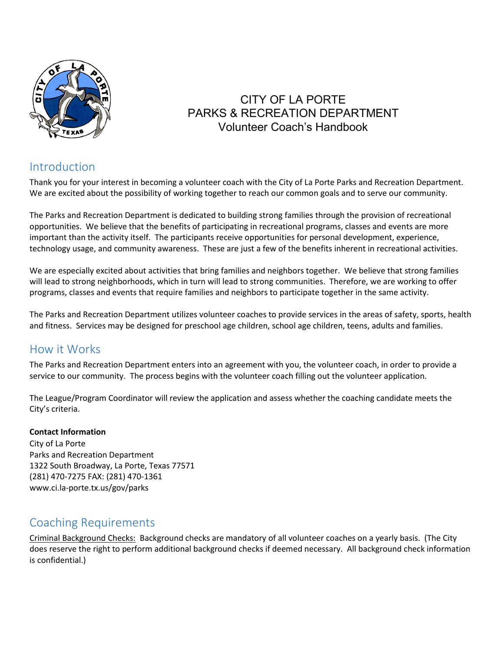

## CITY OF LA PORTE PARKS & RECREATION DEPARTMENT Volunteer Coach's Handbook

## Introduction

Thank you for your interest in becoming a volunteer coach with the City of La Porte Parks and Recreation Department. We are excited about the possibility of working together to reach our common goals and to serve our community.

The Parks and Recreation Department is dedicated to building strong families through the provision of recreational opportunities. We believe that the benefits of participating in recreational programs, classes and events are more important than the activity itself. The participants receive opportunities for personal development, experience, technology usage, and community awareness. These are just a few of the benefits inherent in recreational activities.

We are especially excited about activities that bring families and neighbors together. We believe that strong families will lead to strong neighborhoods, which in turn will lead to strong communities. Therefore, we are working to offer programs, classes and events that require families and neighbors to participate together in the same activity.

The Parks and Recreation Department utilizes volunteer coaches to provide services in the areas of safety, sports, health and fitness. Services may be designed for preschool age children, school age children, teens, adults and families.

### How it Works

The Parks and Recreation Department enters into an agreement with you, the volunteer coach, in order to provide a service to our community. The process begins with the volunteer coach filling out the volunteer application.

The League/Program Coordinator will review the application and assess whether the coaching candidate meets the City's criteria.

#### **Contact Information**

City of La Porte Parks and Recreation Department 1322 South Broadway, La Porte, Texas 77571 (281) 470-7275 FAX: (281) 470-1361 www.ci.la-porte.tx.us/gov/parks

## Coaching Requirements

Criminal Background Checks: Background checks are mandatory of all volunteer coaches on a yearly basis. (The City does reserve the right to perform additional background checks if deemed necessary. All background check information is confidential.)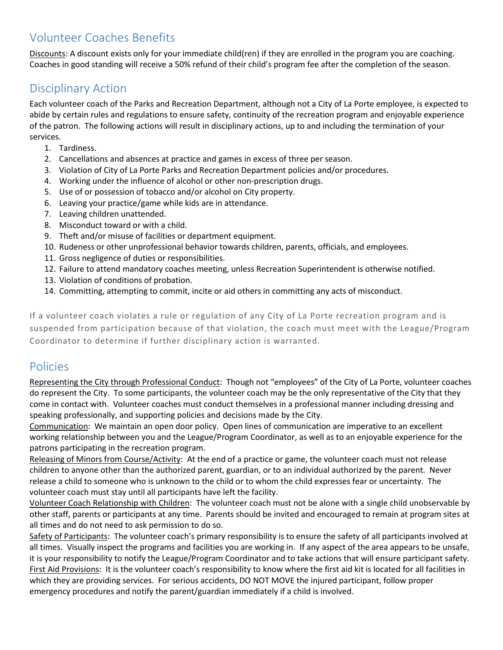## Volunteer Coaches Benefits

Discounts: A discount exists only for your immediate child(ren) if they are enrolled in the program you are coaching. Coaches in good standing will receive a 50% refund of their child's program fee after the completion of the season.

#### Disciplinary Action

Each volunteer coach of the Parks and Recreation Department, although not a City of La Porte employee, is expected to abide by certain rules and regulations to ensure safety, continuity of the recreation program and enjoyable experience of the patron. The following actions will result in disciplinary actions, up to and including the termination of your services.

- 1. Tardiness.
- 2. Cancellations and absences at practice and games in excess of three per season.
- 3. Violation of City of La Porte Parks and Recreation Department policies and/or procedures.
- 4. Working under the influence of alcohol or other non-prescription drugs.
- 5. Use of or possession of tobacco and/or alcohol on City property.
- 6. Leaving your practice/game while kids are in attendance.
- 7. Leaving children unattended.
- 8. Misconduct toward or with a child.
- 9. Theft and/or misuse of facilities or department equipment.
- 10. Rudeness or other unprofessional behavior towards children, parents, officials, and employees.
- 11. Gross negligence of duties or responsibilities.
- 12. Failure to attend mandatory coaches meeting, unless Recreation Superintendent is otherwise notified.
- 13. Violation of conditions of probation.
- 14. Committing, attempting to commit, incite or aid others in committing any acts of misconduct.

If a volunteer coach violates a rule or regulation of any City of La Porte recreation program and is suspended from participation because of that violation, the coach must meet with the League/Program Coordinator to determine if further disciplinary action is warranted.

### Policies

Representing the City through Professional Conduct: Though not "employees" of the City of La Porte, volunteer coaches do represent the City. To some participants, the volunteer coach may be the only representative of the City that they come in contact with. Volunteer coaches must conduct themselves in a professional manner including dressing and speaking professionally, and supporting policies and decisions made by the City.

Communication: We maintain an open door policy. Open lines of communication are imperative to an excellent working relationship between you and the League/Program Coordinator, as well as to an enjoyable experience for the patrons participating in the recreation program.

Releasing of Minors from Course/Activity: At the end of a practice or game, the volunteer coach must not release children to anyone other than the authorized parent, guardian, or to an individual authorized by the parent. Never release a child to someone who is unknown to the child or to whom the child expresses fear or uncertainty. The volunteer coach must stay until all participants have left the facility.

Volunteer Coach Relationship with Children: The volunteer coach must not be alone with a single child unobservable by other staff, parents or participants at any time. Parents should be invited and encouraged to remain at program sites at all times and do not need to ask permission to do so.

Safety of Participants: The volunteer coach's primary responsibility is to ensure the safety of all participants involved at all times. Visually inspect the programs and facilities you are working in. If any aspect of the area appears to be unsafe, it is your responsibility to notify the League/Program Coordinator and to take actions that will ensure participant safety. First Aid Provisions: It is the volunteer coach's responsibility to know where the first aid kit is located for all facilities in which they are providing services. For serious accidents, DO NOT MOVE the injured participant, follow proper emergency procedures and notify the parent/guardian immediately if a child is involved.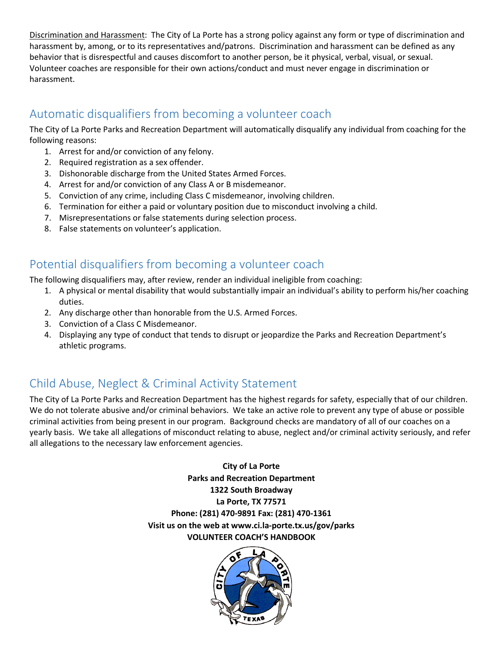Discrimination and Harassment: The City of La Porte has a strong policy against any form or type of discrimination and harassment by, among, or to its representatives and/patrons. Discrimination and harassment can be defined as any behavior that is disrespectful and causes discomfort to another person, be it physical, verbal, visual, or sexual. Volunteer coaches are responsible for their own actions/conduct and must never engage in discrimination or harassment.

## Automatic disqualifiers from becoming a volunteer coach

The City of La Porte Parks and Recreation Department will automatically disqualify any individual from coaching for the following reasons:

- 1. Arrest for and/or conviction of any felony.
- 2. Required registration as a sex offender.
- 3. Dishonorable discharge from the United States Armed Forces.
- 4. Arrest for and/or conviction of any Class A or B misdemeanor.
- 5. Conviction of any crime, including Class C misdemeanor, involving children.
- 6. Termination for either a paid or voluntary position due to misconduct involving a child.
- 7. Misrepresentations or false statements during selection process.
- 8. False statements on volunteer's application.

## Potential disqualifiers from becoming a volunteer coach

The following disqualifiers may, after review, render an individual ineligible from coaching:

- 1. A physical or mental disability that would substantially impair an individual's ability to perform his/her coaching duties.
- 2. Any discharge other than honorable from the U.S. Armed Forces.
- 3. Conviction of a Class C Misdemeanor.
- 4. Displaying any type of conduct that tends to disrupt or jeopardize the Parks and Recreation Department's athletic programs.

# Child Abuse, Neglect & Criminal Activity Statement

The City of La Porte Parks and Recreation Department has the highest regards for safety, especially that of our children. We do not tolerate abusive and/or criminal behaviors. We take an active role to prevent any type of abuse or possible criminal activities from being present in our program. Background checks are mandatory of all of our coaches on a yearly basis. We take all allegations of misconduct relating to abuse, neglect and/or criminal activity seriously, and refer all allegations to the necessary law enforcement agencies.

> **City of La Porte Parks and Recreation Department 1322 South Broadway La Porte, TX 77571 Phone: (281) 470-9891 Fax: (281) 470-1361 Visit us on the web at www.ci.la-porte.tx.us/gov/parks VOLUNTEER COACH'S HANDBOOK**

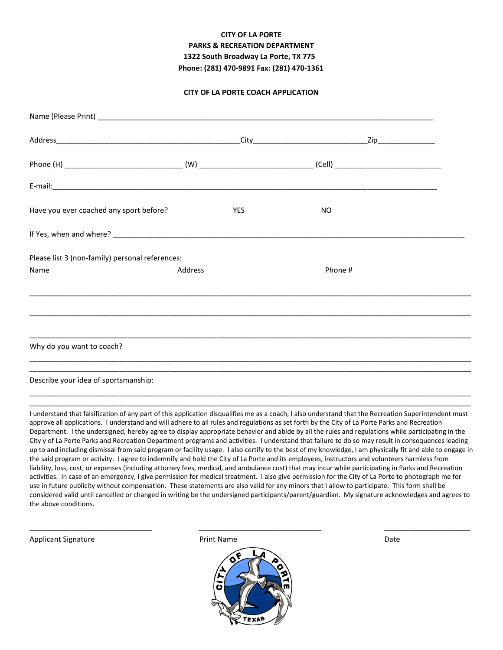#### **CITY OF LA PORTE PARKS & RECREATION DEPARTMENT 1322 South Broadway La Porte, TX 775 Phone: (281) 470-9891 Fax: (281) 470-1361**

#### **CITY OF LA PORTE COACH APPLICATION**

| Have you ever coached any sport before?         |         | <b>YES</b> | NO.     |  |
|-------------------------------------------------|---------|------------|---------|--|
|                                                 |         |            |         |  |
| Please list 3 (non-family) personal references: |         |            |         |  |
| Name                                            | Address |            | Phone # |  |
|                                                 |         |            |         |  |
|                                                 |         |            |         |  |
| Why do you want to coach?                       |         |            |         |  |
| Describe your idea of sportsmanship:            |         |            |         |  |

I understand that falsification of any part of this application disqualifies me as a coach; I also understand that the Recreation Superintendent must approve all applications. I understand and will adhere to all rules and regulations as set forth by the City of La Porte Parks and Recreation Department. I the undersigned, hereby agree to display appropriate behavior and abide by all the rules and regulations while participating in the City y of La Porte Parks and Recreation Department programs and activities. I understand that failure to do so may result in consequences leading up to and including dismissal from said program or facility usage. I also certify to the best of my knowledge, I am physically fit and able to engage in the said program or activity. I agree to indemnify and hold the City of La Porte and its employees, instructors and volunteers harmless from liability, loss, cost, or expenses (including attorney fees, medical, and ambulance cost) that may incur while participating in Parks and Recreation activities. In case of an emergency, I give permission for medical treatment. I also give permission for the City of La Porte to photograph me for use in future publicity without compensation. These statements are also valid for any minors that I allow to participate. This form shall be considered valid until cancelled or changed in writing be the undersigned participants/parent/guardian. My signature acknowledges and agrees to the above conditions.

\_\_\_\_\_\_\_\_\_\_\_\_\_\_\_\_\_\_\_\_\_\_\_\_\_\_\_\_\_\_\_\_\_\_\_\_\_\_\_\_\_\_\_\_\_\_\_\_\_\_\_\_\_\_\_\_\_\_\_\_\_\_\_\_\_\_\_\_\_\_\_\_\_\_\_\_\_\_\_\_\_\_\_\_\_\_\_\_\_\_\_\_\_\_\_\_\_\_\_\_\_\_\_\_\_\_\_\_

Applicant Signature **Print Name** Print Name **Prince Applicant Signature** Date



\_\_\_\_\_\_\_\_\_\_\_\_\_\_\_\_\_\_\_\_\_\_\_\_\_\_\_\_\_\_ \_\_\_\_\_\_\_\_\_\_\_\_\_\_\_\_\_\_\_\_\_\_\_\_\_\_\_\_\_\_ \_\_\_\_\_\_\_\_\_\_\_\_\_\_\_\_\_\_\_\_\_